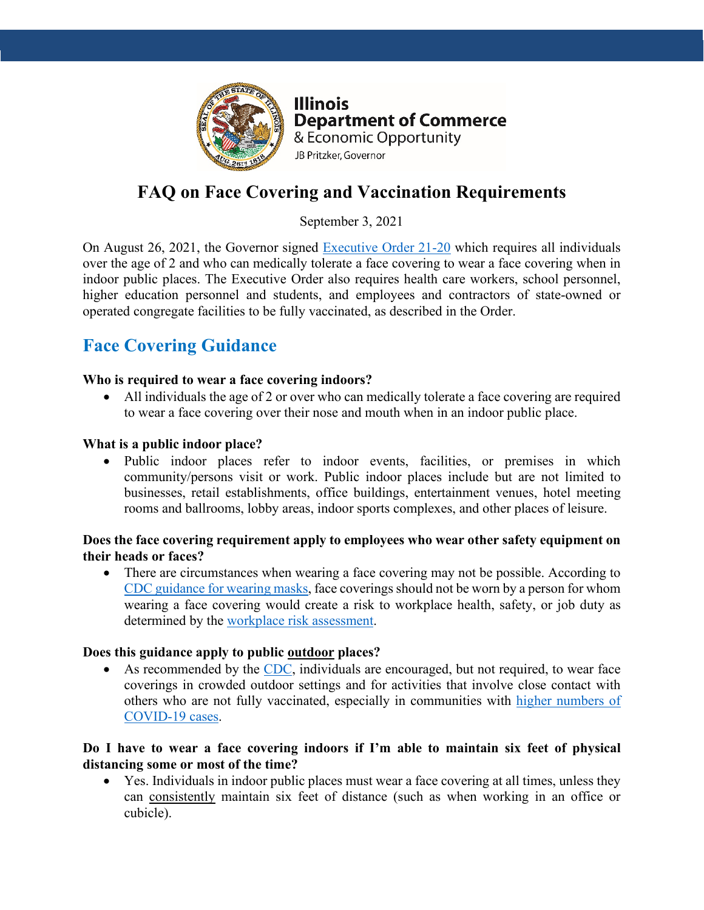

**Illinois Department of Commerce** & Economic Opportunity JB Pritzker, Governor

# **FAQ on Face Covering and Vaccination Requirements**

September 3, 2021

On August 26, 2021, the Governor signed [Executive Order 21-20](https://www.illinois.gov/government/executive-orders/executive-order.executive-order-number-20.2021.html) which requires all individuals over the age of 2 and who can medically tolerate a face covering to wear a face covering when in indoor public places. The Executive Order also requires health care workers, school personnel, higher education personnel and students, and employees and contractors of state-owned or operated congregate facilities to be fully vaccinated, as described in the Order.

# **Face Covering Guidance**

### **Who is required to wear a face covering indoors?**

• All individuals the age of 2 or over who can medically tolerate a face covering are required to wear a face covering over their nose and mouth when in an indoor public place.

#### **What is a public indoor place?**

• Public indoor places refer to indoor events, facilities, or premises in which community/persons visit or work. Public indoor places include but are not limited to businesses, retail establishments, office buildings, entertainment venues, hotel meeting rooms and ballrooms, lobby areas, indoor sports complexes, and other places of leisure.

### **Does the face covering requirement apply to employees who wear other safety equipment on their heads or faces?**

• There are circumstances when wearing a face covering may not be possible. According to CDC [guidance for wearing masks,](https://www.cdc.gov/coronavirus/2019-ncov/prevent-getting-sick/cloth-face-cover-guidance.html) face coverings should not be worn by a person for whom wearing a face covering would create a risk to workplace health, safety, or job duty as determined by the [workplace risk assessment.](https://www.osha.gov/safety-management)

#### **Does this guidance apply to public outdoor places?**

• As recommended by the [CDC,](https://www.cdc.gov/coronavirus/2019-ncov/daily-life-coping/outdoor-activities.html) individuals are encouraged, but not required, to wear face coverings in crowded outdoor settings and for activities that involve close contact with others who are not fully vaccinated, especially in communities with [higher numbers of](https://covid.cdc.gov/covid-data-tracker/#county-view)  [COVID-19 cases.](https://covid.cdc.gov/covid-data-tracker/#county-view)

### **Do I have to wear a face covering indoors if I'm able to maintain six feet of physical distancing some or most of the time?**

• Yes. Individuals in indoor public places must wear a face covering at all times, unless they can consistently maintain six feet of distance (such as when working in an office or cubicle).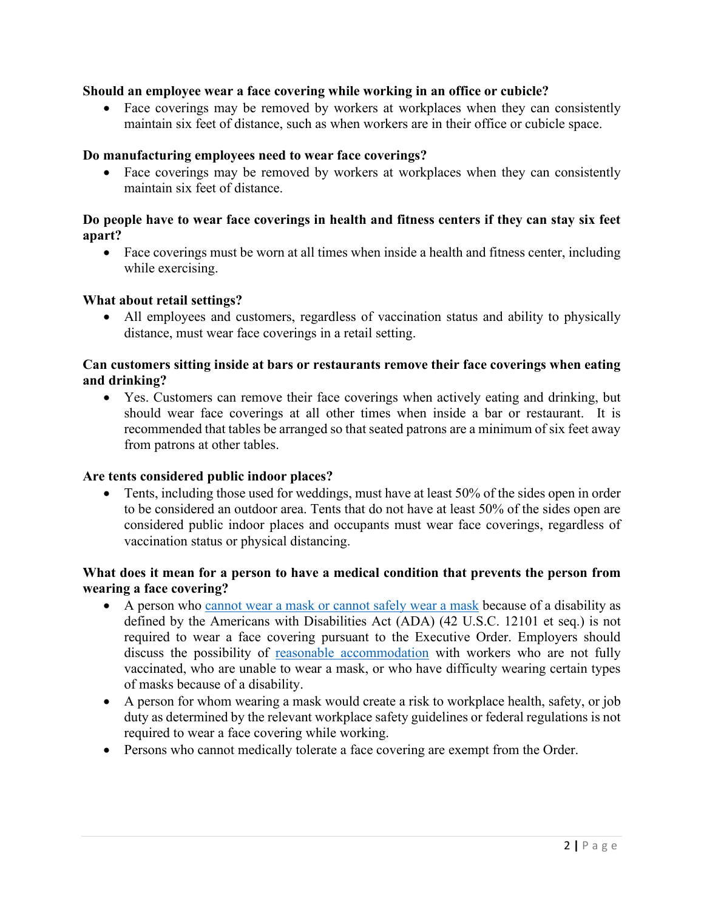#### **Should an employee wear a face covering while working in an office or cubicle?**

• Face coverings may be removed by workers at workplaces when they can consistently maintain six feet of distance, such as when workers are in their office or cubicle space.

#### **Do manufacturing employees need to wear face coverings?**

• Face coverings may be removed by workers at workplaces when they can consistently maintain six feet of distance.

#### **Do people have to wear face coverings in health and fitness centers if they can stay six feet apart?**

• Face coverings must be worn at all times when inside a health and fitness center, including while exercising.

#### **What about retail settings?**

• All employees and customers, regardless of vaccination status and ability to physically distance, must wear face coverings in a retail setting.

### **Can customers sitting inside at bars or restaurants remove their face coverings when eating and drinking?**

• Yes. Customers can remove their face coverings when actively eating and drinking, but should wear face coverings at all other times when inside a bar or restaurant. It is recommended that tables be arranged so that seated patrons are a minimum of six feet away from patrons at other tables.

### **Are tents considered public indoor places?**

• Tents, including those used for weddings, must have at least 50% of the sides open in order to be considered an outdoor area. Tents that do not have at least 50% of the sides open are considered public indoor places and occupants must wear face coverings, regardless of vaccination status or physical distancing.

#### **What does it mean for a person to have a medical condition that prevents the person from wearing a face covering?**

- A person who [cannot wear a mask or cannot safely wear a mask](https://www.cdc.gov/coronavirus/2019-ncov/prevent-getting-sick/cloth-face-cover-guidance.html#anchor_1619804600020) because of a disability as defined by the Americans with Disabilities Act (ADA) (42 U.S.C. 12101 et seq.) is not required to wear a face covering pursuant to the Executive Order. Employers should discuss the possibility of [reasonable accommodation](https://www.eeoc.gov/wysk/what-you-should-know-about-covid-19-and-ada-rehabilitation-act-and-other-eeo-laws) with workers who are not fully vaccinated, who are unable to wear a mask, or who have difficulty wearing certain types of masks because of a disability.
- A person for whom wearing a mask would create a risk to workplace health, safety, or job duty as determined by the relevant workplace safety guidelines or federal regulations is not required to wear a face covering while working.
- Persons who cannot medically tolerate a face covering are exempt from the Order.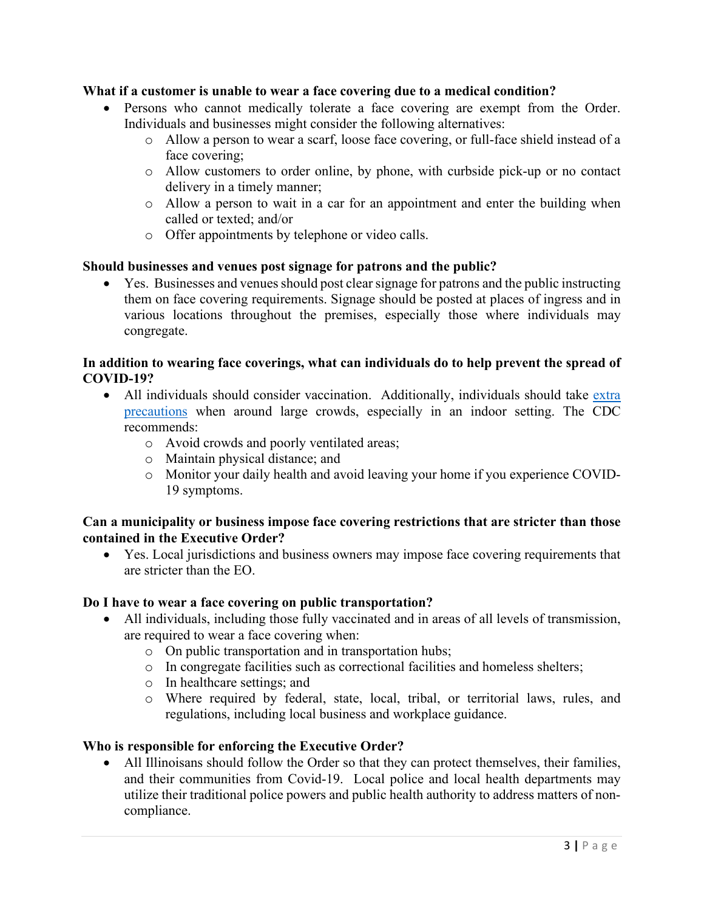#### **What if a customer is unable to wear a face covering due to a medical condition?**

- Persons who cannot medically tolerate a face covering are exempt from the Order. Individuals and businesses might consider the following alternatives:
	- o Allow a person to wear a scarf, loose face covering, or full-face shield instead of a face covering;
	- o Allow customers to order online, by phone, with curbside pick-up or no contact delivery in a timely manner;
	- o Allow a person to wait in a car for an appointment and enter the building when called or texted; and/or
	- o Offer appointments by telephone or video calls.

#### **Should businesses and venues post signage for patrons and the public?**

• Yes. Businesses and venues should post clear signage for patrons and the public instructing them on face covering requirements. Signage should be posted at places of ingress and in various locations throughout the premises, especially those where individuals may congregate.

#### **In addition to wearing face coverings, what can individuals do to help prevent the spread of COVID-19?**

- All individuals should consider vaccination. Additionally, individuals should take extra [precautions](https://www.cdc.gov/coronavirus/2019-ncov/prevent-getting-sick/prevention.html) when around large crowds, especially in an indoor setting. The CDC recommends:
	- o Avoid crowds and poorly ventilated areas;
	- o Maintain physical distance; and
	- o Monitor your daily health and avoid leaving your home if you experience COVID-19 symptoms.

#### **Can a municipality or business impose face covering restrictions that are stricter than those contained in the Executive Order?**

• Yes. Local jurisdictions and business owners may impose face covering requirements that are stricter than the EO.

#### **Do I have to wear a face covering on public transportation?**

- All individuals, including those fully vaccinated and in areas of all levels of transmission, are required to wear a face covering when:
	- o On public transportation and in transportation hubs;
	- o In congregate facilities such as correctional facilities and homeless shelters;
	- o In healthcare settings; and
	- o Where required by federal, state, local, tribal, or territorial laws, rules, and regulations, including local business and workplace guidance.

#### **Who is responsible for enforcing the Executive Order?**

• All Illinoisans should follow the Order so that they can protect themselves, their families, and their communities from Covid-19. Local police and local health departments may utilize their traditional police powers and public health authority to address matters of noncompliance.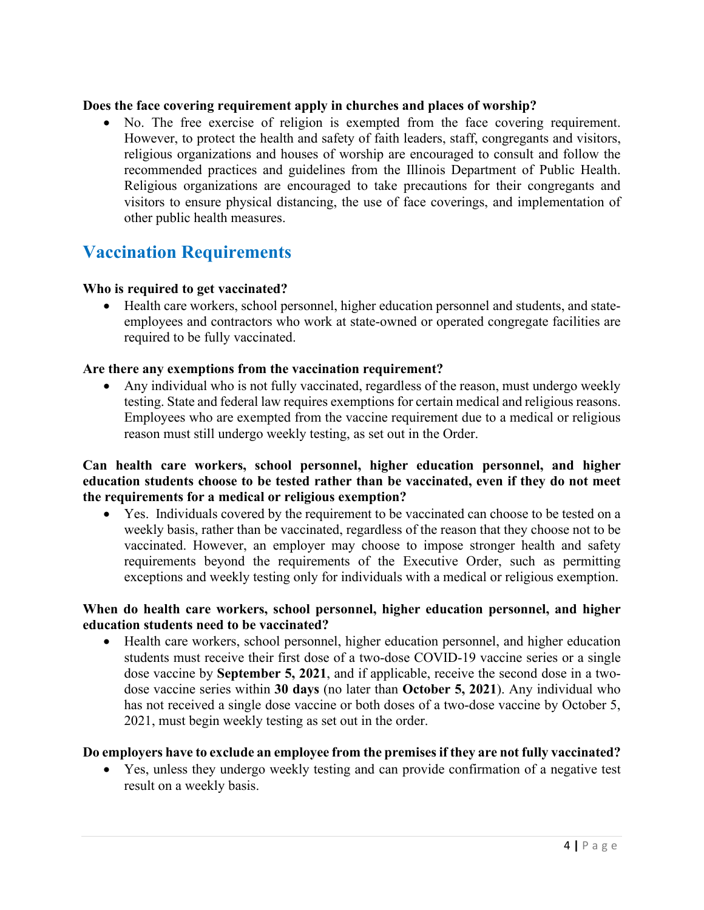#### **Does the face covering requirement apply in churches and places of worship?**

• No. The free exercise of religion is exempted from the face covering requirement. However, to protect the health and safety of faith leaders, staff, congregants and visitors, religious organizations and houses of worship are encouraged to consult and follow the recommended practices and guidelines from the Illinois Department of Public Health. Religious organizations are encouraged to take precautions for their congregants and visitors to ensure physical distancing, the use of face coverings, and implementation of other public health measures.

# **Vaccination Requirements**

#### **Who is required to get vaccinated?**

• Health care workers, school personnel, higher education personnel and students, and stateemployees and contractors who work at state-owned or operated congregate facilities are required to be fully vaccinated.

#### **Are there any exemptions from the vaccination requirement?**

• Any individual who is not fully vaccinated, regardless of the reason, must undergo weekly testing. State and federal law requires exemptions for certain medical and religious reasons. Employees who are exempted from the vaccine requirement due to a medical or religious reason must still undergo weekly testing, as set out in the Order.

**Can health care workers, school personnel, higher education personnel, and higher education students choose to be tested rather than be vaccinated, even if they do not meet the requirements for a medical or religious exemption?** 

• Yes. Individuals covered by the requirement to be vaccinated can choose to be tested on a weekly basis, rather than be vaccinated, regardless of the reason that they choose not to be vaccinated. However, an employer may choose to impose stronger health and safety requirements beyond the requirements of the Executive Order, such as permitting exceptions and weekly testing only for individuals with a medical or religious exemption.

#### **When do health care workers, school personnel, higher education personnel, and higher education students need to be vaccinated?**

• Health care workers, school personnel, higher education personnel, and higher education students must receive their first dose of a two-dose COVID-19 vaccine series or a single dose vaccine by **September 5, 2021**, and if applicable, receive the second dose in a twodose vaccine series within **30 days** (no later than **October 5, 2021**). Any individual who has not received a single dose vaccine or both doses of a two-dose vaccine by October 5, 2021, must begin weekly testing as set out in the order.

#### **Do employers have to exclude an employee from the premises if they are not fully vaccinated?**

• Yes, unless they undergo weekly testing and can provide confirmation of a negative test result on a weekly basis.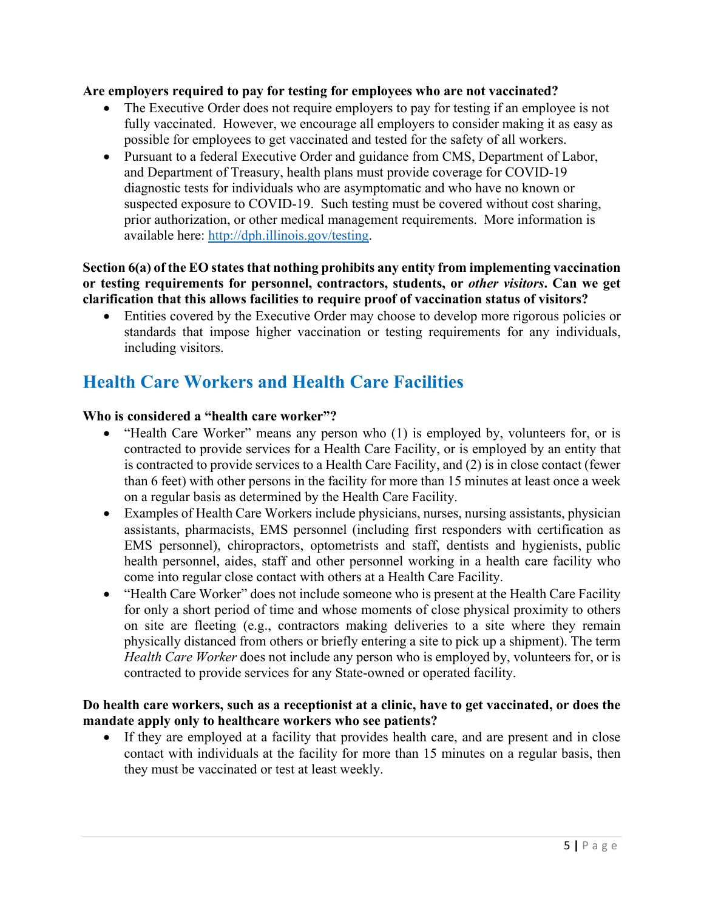#### **Are employers required to pay for testing for employees who are not vaccinated?**

- The Executive Order does not require employers to pay for testing if an employee is not fully vaccinated. However, we encourage all employers to consider making it as easy as possible for employees to get vaccinated and tested for the safety of all workers.
- Pursuant to a federal Executive Order and guidance from CMS, Department of Labor, and Department of Treasury, health plans must provide coverage for COVID-19 diagnostic tests for individuals who are asymptomatic and who have no known or suspected exposure to COVID-19. Such testing must be covered without cost sharing, prior authorization, or other medical management requirements. More information is available here: [http://dph.illinois.gov/testing.](http://dph.illinois.gov/testing)

#### **Section 6(a) of the EO states that nothing prohibits any entity from implementing vaccination or testing requirements for personnel, contractors, students, or** *other visitors***. Can we get clarification that this allows facilities to require proof of vaccination status of visitors?**

• Entities covered by the Executive Order may choose to develop more rigorous policies or standards that impose higher vaccination or testing requirements for any individuals, including visitors.

# **Health Care Workers and Health Care Facilities**

#### **Who is considered a "health care worker"?**

- "Health Care Worker" means any person who (1) is employed by, volunteers for, or is contracted to provide services for a Health Care Facility, or is employed by an entity that is contracted to provide services to a Health Care Facility, and (2) is in close contact (fewer than 6 feet) with other persons in the facility for more than 15 minutes at least once a week on a regular basis as determined by the Health Care Facility.
- Examples of Health Care Workers include physicians, nurses, nursing assistants, physician assistants, pharmacists, EMS personnel (including first responders with certification as EMS personnel), chiropractors, optometrists and staff, dentists and hygienists, public health personnel, aides, staff and other personnel working in a health care facility who come into regular close contact with others at a Health Care Facility.
- "Health Care Worker" does not include someone who is present at the Health Care Facility for only a short period of time and whose moments of close physical proximity to others on site are fleeting (e.g., contractors making deliveries to a site where they remain physically distanced from others or briefly entering a site to pick up a shipment). The term *Health Care Worker* does not include any person who is employed by, volunteers for, or is contracted to provide services for any State-owned or operated facility.

#### **Do health care workers, such as a receptionist at a clinic, have to get vaccinated, or does the mandate apply only to healthcare workers who see patients?**

If they are employed at a facility that provides health care, and are present and in close contact with individuals at the facility for more than 15 minutes on a regular basis, then they must be vaccinated or test at least weekly.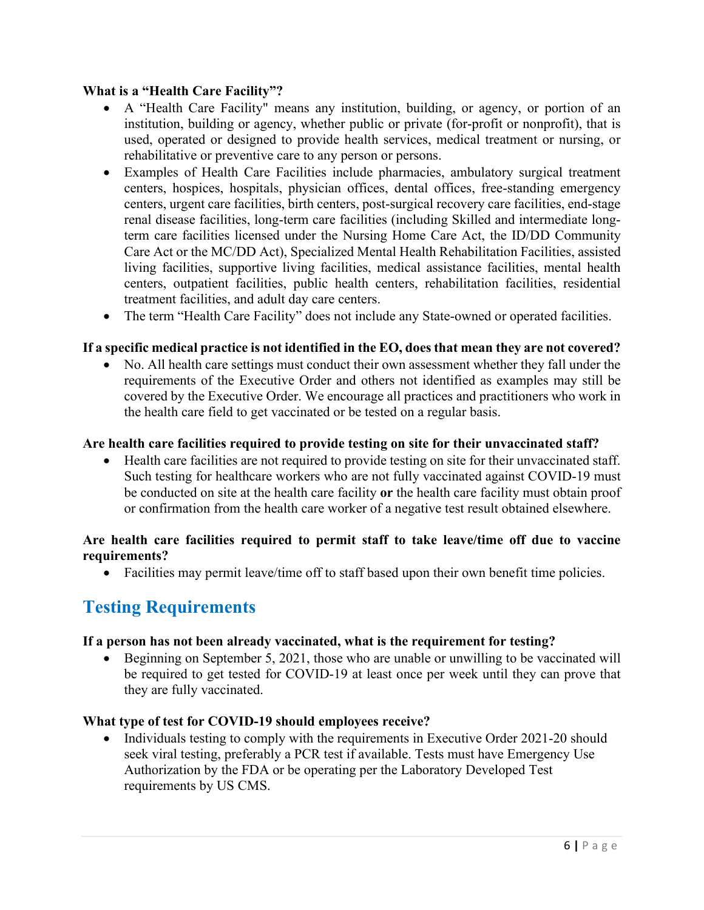### **What is a "Health Care Facility"?**

- A "Health Care Facility" means any institution, building, or agency, or portion of an institution, building or agency, whether public or private (for-profit or nonprofit), that is used, operated or designed to provide health services, medical treatment or nursing, or rehabilitative or preventive care to any person or persons.
- Examples of Health Care Facilities include pharmacies, ambulatory surgical treatment centers, hospices, hospitals, physician offices, dental offices, free-standing emergency centers, urgent care facilities, birth centers, post-surgical recovery care facilities, end-stage renal disease facilities, long-term care facilities (including Skilled and intermediate longterm care facilities licensed under the Nursing Home Care Act, the ID/DD Community Care Act or the MC/DD Act), Specialized Mental Health Rehabilitation Facilities, assisted living facilities, supportive living facilities, medical assistance facilities, mental health centers, outpatient facilities, public health centers, rehabilitation facilities, residential treatment facilities, and adult day care centers.
- The term "Health Care Facility" does not include any State-owned or operated facilities.

## **If a specific medical practice is not identified in the EO, does that mean they are not covered?**

• No. All health care settings must conduct their own assessment whether they fall under the requirements of the Executive Order and others not identified as examples may still be covered by the Executive Order. We encourage all practices and practitioners who work in the health care field to get vaccinated or be tested on a regular basis.

### **Are health care facilities required to provide testing on site for their unvaccinated staff?**

• Health care facilities are not required to provide testing on site for their unvaccinated staff. Such testing for healthcare workers who are not fully vaccinated against COVID-19 must be conducted on site at the health care facility **or** the health care facility must obtain proof or confirmation from the health care worker of a negative test result obtained elsewhere.

### **Are health care facilities required to permit staff to take leave/time off due to vaccine requirements?**

• Facilities may permit leave/time off to staff based upon their own benefit time policies.

# **Testing Requirements**

#### **If a person has not been already vaccinated, what is the requirement for testing?**

• Beginning on September 5, 2021, those who are unable or unwilling to be vaccinated will be required to get tested for COVID-19 at least once per week until they can prove that they are fully vaccinated.

#### **What type of test for COVID-19 should employees receive?**

• Individuals testing to comply with the requirements in Executive Order 2021-20 should seek viral testing, preferably a PCR test if available. Tests must have Emergency Use Authorization by the FDA or be operating per the Laboratory Developed Test requirements by US CMS.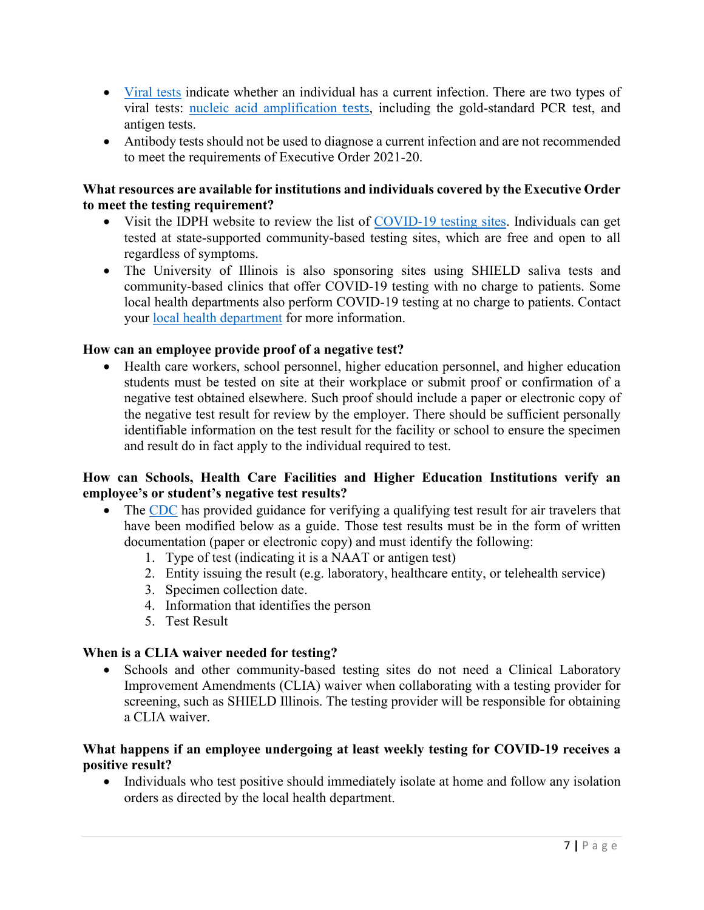- [Viral tests](https://www.cdc.gov/coronavirus/2019-ncov/testing/diagnostic-testing.html) indicate whether an individual has a current infection. There are two types of viral tests: [nucleic acid amplification](https://www.cdc.gov/coronavirus/2019-ncov/lab/naats.html) [tests](https://www.cdc.gov/coronavirus/2019-ncov/lab/naats.html), including the gold-standard PCR test, and antigen tests.
- Antibody tests should not be used to diagnose a current infection and are not recommended to meet the requirements of Executive Order 2021-20.

### **What resources are available for institutions and individuals covered by the Executive Order to meet the testing requirement?**

- Visit the IDPH website to review the list of [COVID-19 testing sites.](https://www.dph.illinois.gov/testing) Individuals can get tested at state-supported community-based testing sites, which are free and open to all regardless of symptoms.
- The University of Illinois is also sponsoring sites using SHIELD saliva tests and community-based clinics that offer COVID-19 testing with no charge to patients. Some local health departments also perform COVID-19 testing at no charge to patients. Contact your [local health department](http://www.idph.state.il.us/LHDMap/HealthRegions.aspx) for more information.

## **How can an employee provide proof of a negative test?**

• Health care workers, school personnel, higher education personnel, and higher education students must be tested on site at their workplace or submit proof or confirmation of a negative test obtained elsewhere. Such proof should include a paper or electronic copy of the negative test result for review by the employer. There should be sufficient personally identifiable information on the test result for the facility or school to ensure the specimen and result do in fact apply to the individual required to test.

## **How can Schools, Health Care Facilities and Higher Education Institutions verify an employee's or student's negative test results?**

- The [CDC](https://www.cdc.gov/coronavirus/2019-ncov/travelers/testing-international-air-travelers.html) has provided guidance for verifying a qualifying test result for air travelers that have been modified below as a guide. Those test results must be in the form of written documentation (paper or electronic copy) and must identify the following:
	- 1. Type of test (indicating it is a NAAT or antigen test)
	- 2. Entity issuing the result (e.g. laboratory, healthcare entity, or telehealth service)
	- 3. Specimen collection date.
	- 4. Information that identifies the person
	- 5. Test Result

## **When is a CLIA waiver needed for testing?**

• Schools and other community-based testing sites do not need a Clinical Laboratory Improvement Amendments (CLIA) waiver when collaborating with a testing provider for screening, such as SHIELD Illinois. The testing provider will be responsible for obtaining a CLIA waiver.

### **What happens if an employee undergoing at least weekly testing for COVID-19 receives a positive result?**

• Individuals who test positive should immediately isolate at home and follow any isolation orders as directed by the local health department.